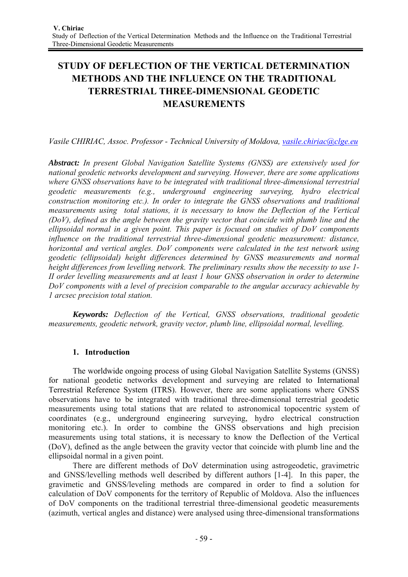# **STUDY OF DEFLECTION OF THE VERTICAL DETERMINATION METHODS AND THE INFLUENCE ON THE TRADITIONAL TERRESTRIAL THREE-DIMENSIONAL GEODETIC MEASUREMENTS**

*Vasile CHIRIAC, Assoc. Professor - Technical University of Moldova, vasile.chiriac@clge.eu*

*Abstract: In present Global Navigation Satellite Systems (GNSS) are extensively used for national geodetic networks development and surveying. However, there are some applications where GNSS observations have to be integrated with traditional three-dimensional terrestrial geodetic measurements (e.g., underground engineering surveying, hydro electrical construction monitoring etc.). In order to integrate the GNSS observations and traditional measurements using total stations, it is necessary to know the Deflection of the Vertical (DoV), defined as the angle between the gravity vector that coincide with plumb line and the ellipsoidal normal in a given point. This paper is focused on studies of DoV components influence on the traditional terrestrial three-dimensional geodetic measurement: distance, horizontal and vertical angles. DoV components were calculated in the test network using geodetic (ellipsoidal) height differences determined by GNSS measurements and normal height differences from levelling network. The preliminary results show the necessity to use 1- II order levelling measurements and at least 1 hour GNSS observation in order to determine DoV components with a level of precision comparable to the angular accuracy achievable by 1 arcsec precision total station.* 

*Keywords: Deflection of the Vertical, GNSS observations, traditional geodetic measurements, geodetic network, gravity vector, plumb line, ellipsoidal normal, levelling.* 

## **1. Introduction**

The worldwide ongoing process of using Global Navigation Satellite Systems (GNSS) for national geodetic networks development and surveying are related to International Terrestrial Reference System (ITRS). However, there are some applications where GNSS observations have to be integrated with traditional three-dimensional terrestrial geodetic measurements using total stations that are related to astronomical topocentric system of coordinates (e.g., underground engineering surveying, hydro electrical construction monitoring etc.). In order to combine the GNSS observations and high precision measurements using total stations, it is necessary to know the Deflection of the Vertical (DoV), defined as the angle between the gravity vector that coincide with plumb line and the ellipsoidal normal in a given point.

There are different methods of DoV determination using astrogeodetic, gravimetric and GNSS/levelling methods well described by different authors [1-4]. In this paper, the gravimetic and GNSS/leveling methods are compared in order to find a solution for calculation of DoV components for the territory of Republic of Moldova. Also the influences of DoV components on the traditional terrestrial three-dimensional geodetic measurements (azimuth, vertical angles and distance) were analysed using three-dimensional transformations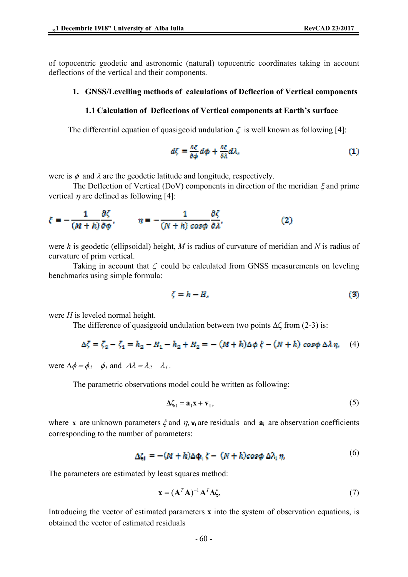### **1. GNSS/Levelling methods of calculations of Deflection of Vertical components**

#### **1.1 Calculation of Deflections of Vertical components at Earth's surface**

The differential equation of quasigeoid undulation  $\zeta$  is well known as following [4]:

$$
d\zeta = \frac{\partial \zeta}{\partial \phi} d\phi + \frac{\partial \zeta}{\partial \lambda} d\lambda,\tag{1}
$$

were is  $\phi$  and  $\lambda$  are the geodetic latitude and longitude, respectively.

The Deflection of Vertical (DoV) components in direction of the meridian  $\xi$  and prime vertical  $\eta$  are defined as following [4]:

$$
\xi = -\frac{1}{(M+h)} \frac{\partial \zeta}{\partial \phi}, \qquad \eta = -\frac{1}{(N+h)} \frac{\partial \zeta}{\partial \phi \partial \lambda}.
$$
 (2)

were *h* is geodetic (ellipsoidal) height, *M* is radius of curvature of meridian and *N* is radius of curvature of prim vertical.

Taking in account that  $\zeta$  could be calculated from GNSS measurements on leveling benchmarks using simple formula:

$$
\zeta = h - H,\tag{3}
$$

were *H* is leveled normal height.

The difference of quasigeoid undulation between two points  $\Delta \zeta$  from (2-3) is:

$$
\Delta \zeta = \zeta_2 - \zeta_1 = h_2 - H_1 - h_2 + H_2 = - (M + h)\Delta \phi \xi - (N + h) \cos \phi \Delta \lambda \eta, \tag{4}
$$

were  $\Delta \phi = \phi_2 - \phi_1$  and  $\Delta \lambda = \lambda_2 - \lambda_1$ .

The parametric observations model could be written as following:

$$
\Delta \zeta_i = \mathbf{a}_i \mathbf{x} + \mathbf{v}_i,\tag{5}
$$

where **x** are unknown parameters  $\xi$  and  $\eta$ ,  $v_i$  are residuals and  $a_i$  are observation coefficients corresponding to the number of parameters:

$$
\Delta \zeta_1 = -(M+h)\Delta \Phi_1 \xi - (N+h)cos\phi \Delta \lambda_1 \eta_1 \tag{6}
$$

The parameters are estimated by least squares method:

$$
\mathbf{x} = (\mathbf{A}^T \mathbf{A})^{-1} \mathbf{A}^T \mathbf{\Delta} \zeta,\tag{7}
$$

Introducing the vector of estimated parameters **x** into the system of observation equations, is obtained the vector of estimated residuals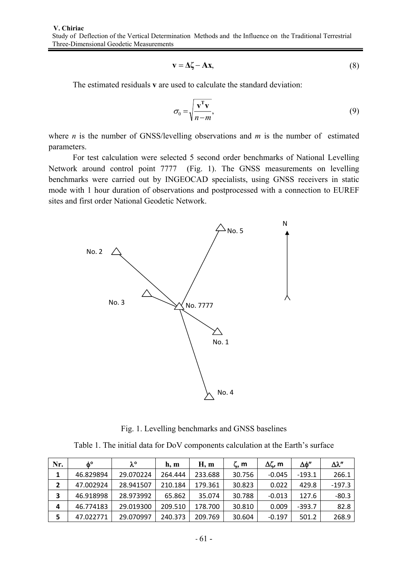$$
\mathbf{v} = \Delta \zeta - \mathbf{A} \mathbf{x},\tag{8}
$$

The estimated residuals **v** are used to calculate the standard deviation:

$$
\sigma_0 = \sqrt{\frac{\mathbf{v}^{\mathrm{T}} \mathbf{v}}{n-m}},\tag{9}
$$

where *n* is the number of GNSS/levelling observations and *m* is the number of estimated parameters.

For test calculation were selected 5 second order benchmarks of National Levelling Network around control point 7777 (Fig. 1). The GNSS measurements on levelling benchmarks were carried out by INGEOCAD specialists, using GNSS receivers in static mode with 1 hour duration of observations and postprocessed with a connection to EUREF sites and first order National Geodetic Network.



Fig. 1. Levelling benchmarks and GNSS baselines

Table 1. The initial data for DoV components calculation at the Earth's surface

| Nr.            | $\phi_{\circ}$ | λ°        | h, m    | H, m    | $\zeta$ , m | Δζ, m    | Δφ''     | Δλ''     |
|----------------|----------------|-----------|---------|---------|-------------|----------|----------|----------|
| 1              | 46.829894      | 29.070224 | 264.444 | 233.688 | 30.756      | $-0.045$ | $-193.1$ | 266.1    |
| $\overline{2}$ | 47.002924      | 28.941507 | 210.184 | 179.361 | 30.823      | 0.022    | 429.8    | $-197.3$ |
| 3              | 46.918998      | 28.973992 | 65.862  | 35.074  | 30.788      | $-0.013$ | 127.6    | $-80.3$  |
| 4              | 46.774183      | 29.019300 | 209.510 | 178.700 | 30.810      | 0.009    | $-393.7$ | 82.8     |
| 5              | 47.022771      | 29.070997 | 240.373 | 209.769 | 30.604      | $-0.197$ | 501.2    | 268.9    |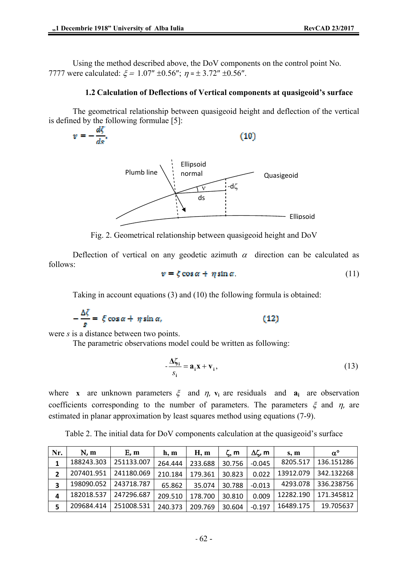Using the method described above, the DoV components on the control point No. 7777 were calculated:  $\xi = 1.07'' \pm 0.56''$ ;  $\eta = \pm 3.72'' \pm 0.56''$ .

#### **1.2 Calculation of Deflections of Vertical components at quasigeoid's surface**

The geometrical relationship between quasigeoid height and deflection of the vertical is defined by the following formulae [5]:

 $v = -\frac{d\zeta}{d\phi}$ .  $(10)$ Ellipsoid



Fig. 2. Geometrical relationship between quasigeoid height and DoV

Deflection of vertical on any geodetic azimuth  $\alpha$  direction can be calculated as follows:

$$
v = \zeta \cos \alpha + \eta \sin \alpha \tag{11}
$$

Taking in account equations (3) and (10) the following formula is obtained:

$$
-\frac{\Delta \zeta}{s} = \xi \cos \alpha + \eta \sin \alpha, \qquad (12)
$$

were *s* is a distance between two points.

The parametric observations model could be written as following:

$$
-\frac{\Delta\zeta_i}{s_i} = \mathbf{a}_i \mathbf{x} + \mathbf{v}_i,\tag{13}
$$

where **x** are unknown parameters  $\xi$  and  $\eta$ ,  $v_i$  are residuals and  $a_i$  are observation coefficients corresponding to the number of parameters. The parameters  $\xi$  and  $\eta$ , are estimated in planar approximation by least squares method using equations (7-9).

Table 2. The initial data for DoV components calculation at the quasigeoid's surface

| Nr. | N, m       | E, m       | h, m    | H, m    | ζ, m   | Δζ, m    | s, m      | $\alpha^{\circ}$ |
|-----|------------|------------|---------|---------|--------|----------|-----------|------------------|
| 1   | 188243.303 | 251133.007 | 264.444 | 233.688 | 30.756 | $-0.045$ | 8205.517  | 136.151286       |
| 2   | 207401.951 | 241180.069 | 210.184 | 179.361 | 30.823 | 0.022    | 13912.079 | 342.132268       |
| 3   | 198090.052 | 243718.787 | 65.862  | 35.074  | 30.788 | $-0.013$ | 4293.078  | 336.238756       |
| 4   | 182018.537 | 247296.687 | 209.510 | 178.700 | 30.810 | 0.009    | 12282.190 | 171.345812       |
| 5   | 209684.414 | 251008.531 | 240.373 | 209.769 | 30.604 | $-0.197$ | 16489.175 | 19.705637        |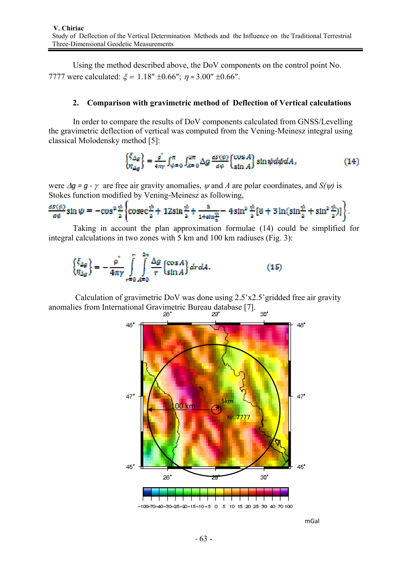Using the method described above, the DoV components on the control point No. 7777 were calculated:  $\xi = 1.18'' \pm 0.66''$ ;  $\eta = 3.00'' \pm 0.66''$ .

#### **2. Comparison with gravimetric method of Deflection of Vertical calculations**

In order to compare the results of DoV components calculated from GNSS/Levelling the gravimetric deflection of vertical was computed from the Vening-Meinesz integral using classical Molodensky method [5]:

$$
\begin{aligned} \left\{ \frac{\xi_{\Delta g}}{\eta_{\Delta g}} \right\} &= \frac{\rho}{4\pi r} \int_{\phi=0}^{\pi} \int_{A=0}^{2\pi} \Delta g \, \frac{as(\phi)}{d\phi} \begin{Bmatrix} \cos A \\ \sin A \end{Bmatrix} \sin \psi d\psi dA \,, \end{aligned} \tag{14}
$$

were  $\Delta q = q - \gamma$  are free air gravity anomalies,  $\psi$  and A are polar coordinates, and  $S(\psi)$  is Stokes function modified by Vening-Meinesz as following,

$$
\frac{dS(\phi)}{d\phi}\sin\psi = -\cos^2\frac{\phi}{2}\left\{\cos\frac{\phi}{2} + 12\sin\frac{\phi}{2} + \frac{3}{1+\sin\frac{\phi}{2}} - 4\sin^2\frac{\phi}{2}[\ddot{\theta} + 3\ln(\sin\frac{\phi}{2} + \sin^2\frac{\phi}{2})]\right\}.
$$

Taking in account the plan approximation formulae (14) could be simplified for integral calculations in two zones with 5 km and 100 km radiuses (Fig. 3):

$$
\begin{Bmatrix} \xi_{\Delta g} \\ \eta_{\Delta g} \end{Bmatrix} = -\frac{\rho^*}{4\pi\gamma} \int_{r=0}^{r} \int_{A=0}^{2\pi} \frac{\Delta g}{r} \begin{Bmatrix} \cos A \\ \sin A \end{Bmatrix} dr dA. \tag{15}
$$

 Calculation of gravimetric DoV was done using 2.5'x2.5'gridded free air gravity anomalies from International Gravimetric Bureau database [7].  $\infty$ 



mGal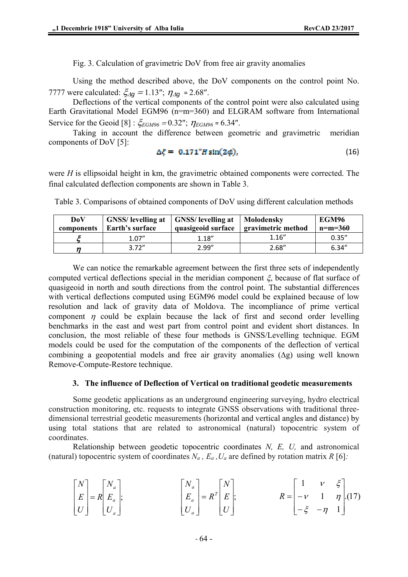Fig. 3. Calculation of gravimetric DoV from free air gravity anomalies

Using the method described above, the DoV components on the control point No. 7777 were calculated:  $\zeta_{\Delta q} = 1.13''$ ;  $\eta_{\Delta q} = 2.68''$ .

Deflections of the vertical components of the control point were also calculated using Earth Gravitational Model EGM96 (n=m=360) and ELGRAM software from International Service for the Geoid [8] :  $\zeta_{EGM96} = 0.32$ ";  $\eta_{EGM96} = 6.34$ ".

Taking in account the difference between geometric and gravimetric meridian components of DoV [5]:

$$
\Delta \zeta = 0.171 \text{''} H \sin(2\phi), \tag{16}
$$

were *H* is ellipsoidal height in km, the gravimetric obtained components were corrected. The final calculated deflection components are shown in Table 3.

Table 3. Comparisons of obtained components of DoV using different calculation methods

| DoV<br>components | <b>GNSS</b> / levelling at   GNSS/ levelling at<br>Earth's surface | quasigeoid surface | Molodensky<br>gravimetric method | EGM96<br>$n=m=360$ |
|-------------------|--------------------------------------------------------------------|--------------------|----------------------------------|--------------------|
|                   | 1.07''                                                             | 1.18''             | 1.16''                           | 0.35''             |
| п                 | 3.72''                                                             | 2.99''             | 2.68''                           | 6.34''             |

We can notice the remarkable agreement between the first three sets of independently computed vertical deflections special in the meridian component  $\xi$ , because of flat surface of quasigeoid in north and south directions from the control point. The substantial differences with vertical deflections computed using EGM96 model could be explained because of low resolution and lack of gravity data of Moldova. The incompliance of prime vertical component  $\eta$  could be explain because the lack of first and second order levelling benchmarks in the east and west part from control point and evident short distances. In conclusion, the most reliable of these four methods is GNSS/Levelling technique. EGM models could be used for the computation of the components of the deflection of vertical combining a geopotential models and free air gravity anomalies  $(\Delta g)$  using well known Remove-Compute-Restore technique.

#### **3. The influence of Deflection of Vertical on traditional geodetic measurements**

Some geodetic applications as an underground engineering surveying, hydro electrical construction monitoring, etc. requests to integrate GNSS observations with traditional threedimensional terrestrial geodetic measurements (horizontal and vertical angles and distance) by using total stations that are related to astronomical (natural) topocentric system of coordinates.

Relationship between geodetic topocentric coordinates *N, E, U,* and astronomical (natural) topocentric system of coordinates  $N_a$ ,  $E_a$ ,  $U_a$  are defined by rotation matrix  $R$  [6]:

$$
\begin{bmatrix} N \ E \ U \end{bmatrix} = R \begin{bmatrix} N_a \ E_a \ U_a \end{bmatrix}; \qquad \qquad \begin{bmatrix} N_a \ E_a \ U_a \end{bmatrix} = R^T \begin{bmatrix} N \ E \ U \end{bmatrix}; \qquad \qquad R = \begin{bmatrix} 1 & \nu & \xi \\ -\nu & 1 & \eta \\ -\xi & -\eta & 1 \end{bmatrix}. (17)
$$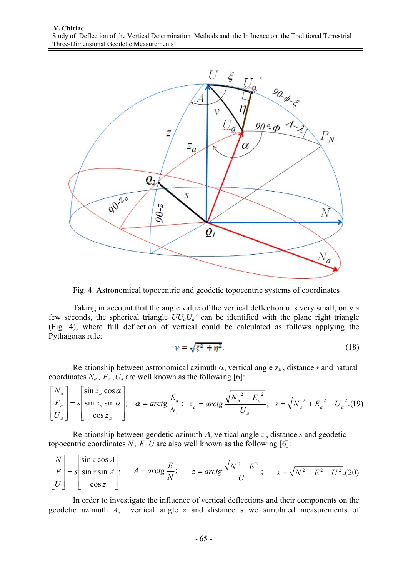

Fig. 4. Astronomical topocentric and geodetic topocentric systems of coordinates

Taking in account that the angle value of the vertical deflection υ is very small, only a few seconds, the spherical triangle  $UU_aU_a$ <sup>'</sup> can be identified with the plane right triangle (Fig. 4), where full deflection of vertical could be calculated as follows applying the Pythagoras rule:

$$
\nu = \sqrt{\xi^2 + \eta^2} \tag{18}
$$

Relationship between astronomical azimuth  $\alpha$ , vertical angle  $z_a$ , distance *s* and natural coordinates  $N_a$ ,  $E_a$ ,  $U_a$  are well known as the following [6]:

$$
\begin{bmatrix} N_a \\ E_a \\ U_a \end{bmatrix} = s \begin{bmatrix} \sin z_a \cos \alpha \\ \sin z_a \sin \alpha \\ \cos z_a \end{bmatrix}; \quad \alpha = \arctg \frac{E_a}{N_a}; \quad z_a = \arctg \frac{\sqrt{N_a^2 + E_a^2}}{U_a}; \quad s = \sqrt{N_a^2 + E_a^2 + U_a^2}. \tag{19}
$$

Relationship between geodetic azimuth Α, vertical angle *z* , distance *s* and geodetic topocentric coordinates  $N$ ,  $E$ ,  $U$  are also well known as the following [6]:

$$
\begin{bmatrix} N \\ E \\ U \end{bmatrix} = s \begin{bmatrix} \sin z \cos A \\ \sin z \sin A \\ \cos z \end{bmatrix}; \qquad A = arctg \frac{E}{N}; \qquad z = arctg \frac{\sqrt{N^2 + E^2}}{U}; \qquad s = \sqrt{N^2 + E^2 + U^2}. \tag{20}
$$

In order to investigate the influence of vertical deflections and their components on the geodetic azimuth *A*, vertical angle *z* and distance s we simulated measurements of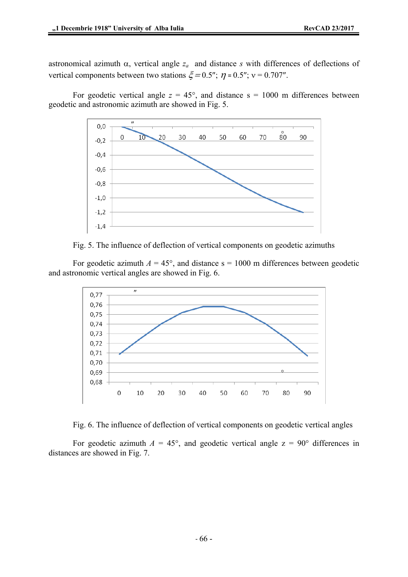astronomical azimuth  $\alpha$ , vertical angle  $z_a$  and distance *s* with differences of deflections of vertical components between two stations  $\zeta = 0.5$ ";  $\eta = 0.5$ ";  $v = 0.707$ ".

For geodetic vertical angle  $z = 45^{\circ}$ , and distance  $s = 1000$  m differences between geodetic and astronomic azimuth are showed in Fig. 5.



Fig. 5. The influence of deflection of vertical components on geodetic azimuths

For geodetic azimuth  $A = 45^{\circ}$ , and distance s = 1000 m differences between geodetic and astronomic vertical angles are showed in Fig. 6.



Fig. 6. The influence of deflection of vertical components on geodetic vertical angles

For geodetic azimuth  $A = 45^{\circ}$ , and geodetic vertical angle  $z = 90^{\circ}$  differences in distances are showed in Fig. 7.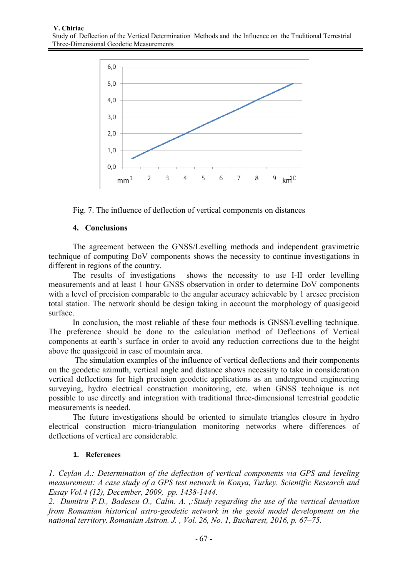

Fig. 7. The influence of deflection of vertical components on distances

## **4. Conclusions**

The agreement between the GNSS/Levelling methods and independent gravimetric technique of computing DoV components shows the necessity to continue investigations in different in regions of the country.

The results of investigations shows the necessity to use I-II order levelling measurements and at least 1 hour GNSS observation in order to determine DoV components with a level of precision comparable to the angular accuracy achievable by 1 arcsec precision total station. The network should be design taking in account the morphology of quasigeoid surface.

In conclusion, the most reliable of these four methods is GNSS/Levelling technique. The preference should be done to the calculation method of Deflections of Vertical components at earth's surface in order to avoid any reduction corrections due to the height above the quasigeoid in case of mountain area.

 The simulation examples of the influence of vertical deflections and their components on the geodetic azimuth, vertical angle and distance shows necessity to take in consideration vertical deflections for high precision geodetic applications as an underground engineering surveying, hydro electrical construction monitoring, etc. when GNSS technique is not possible to use directly and integration with traditional three-dimensional terrestrial geodetic measurements is needed.

The future investigations should be oriented to simulate triangles closure in hydro electrical construction micro-triangulation monitoring networks where differences of deflections of vertical are considerable.

## **1. References**

*1. Ceylan A.: Determination of the deflection of vertical components via GPS and leveling measurement: A case study of a GPS test network in Konya, Turkey. Scientific Research and Essay Vol.4 (12), December, 2009, pp. 1438-1444.* 

*2. Dumitru P.D., Badescu O., Calin. A. ,:Study regarding the use of the vertical deviation from Romanian historical astro-geodetic network in the geoid model development on the national territory. Romanian Astron. J. , Vol. 26, No. 1, Bucharest, 2016, p. 67–75.*